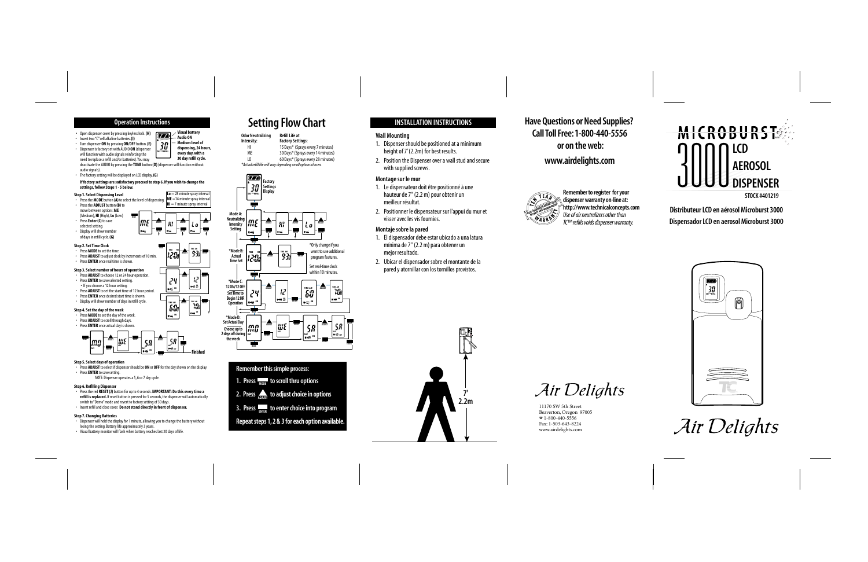**Have Questions or Need Supplies? CallTollFree:1-800-440-5556 or on theweb: www.airdelights.com**





**DistributeurLCD en aérosolMicroburst 3000 DispensadorLCD en aerosolMicroburst 3000**



Air Delights



Remember to register for your<br>dispenser warranty on-line at:<br>'http://www.technicalconcepts.com<br>Use of air neutralizers other than<br>TC<sup>TM</sup> refiils voids dispenser warranty.

Air Delights

11170 SW 5th Street Beaverton, Oregon 97005 ☎ 1-800-440-5556 Fax: 1-503-643-8224 www.airdelights.com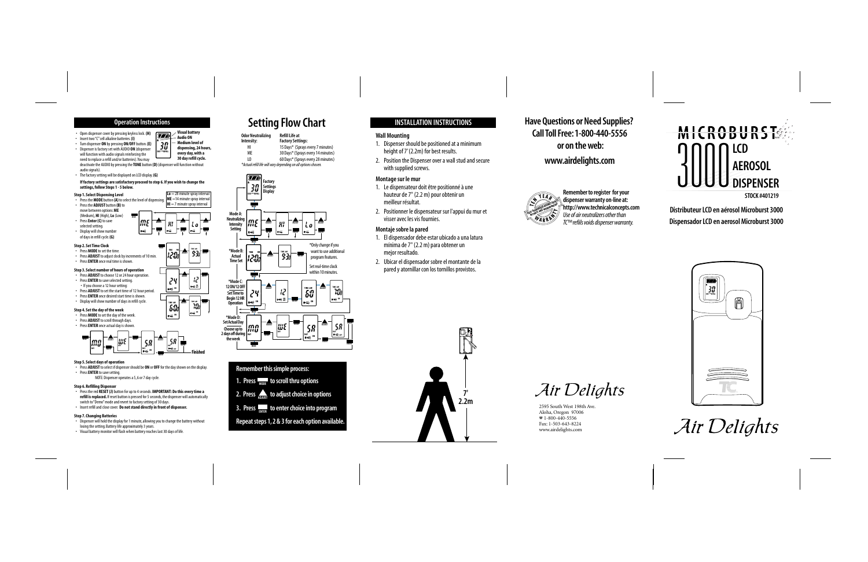### **Operation Instructions**

**TIME AM PM**

 $\overline{77}$ 

**Visual battery Audio ON Medium level of dispensing, 24 hours, every day, with a 30 day refill cycle.**

**TO**

- Open dispenser cover by pressing keyless lock. **(H)**
- Insert two "C" cell alkaline batteries. **(I)**
- Turn dispenser **ON** by pressing **ON/OFF** button. **(E)** • Dispenser is factory set with AUDIO **ON** (dispenser will function with audio signals reinforcing the need to replace a refill and/or batteries). You may deactivate the AUDIO by pressing the **TONE** button **(D)** (dispenser will function without audio signals). **DAY REFILL**
- The factory setting will be displayed on LCD display. **(G)**

### **If factory settings are satisfactory proceed to step 6. If you wish to change the settings, follow Steps 1 - 5 below.**

#### **Step 1. Select Dispensing Level**

- **Lo** = 28 minute spray interval **ME** =14 minute spray interval • Press the **MODE** button **(A)** to select the level of dispensing. **HI** = 7 minute spray interval • Press the **ADJUST** button **(B)** to move between options: **ME**  (Medium), **HI** (High), **Lo** (Low) **MODE TIME AM PM** • Press **Enter (C)** to save **AM PM TIME AM PM ADJUST ADJUST ADJUST** selected setting. • Display will show number **ENTER ENTER ENTER** of days in refill cycle. **(G) Step 2. Set Time Clock AM PM MODE** • Press **MODE** to set the time. **AM PM TIME TIME ADJUST ENTER** • Press **ADJUST** to adjust clock by increments of 10 min. • Press **ENTER** once real time is shown. **Step 3. Select number of hours of operation** • Press **ADJUST** to choose 12 or 24 hour operation. **AM PM ADJUST ENTER** *AMJUST*  • Press **ENTER** to save selected setting. г iζ • If you choose a 12 hour setting:  $\Pi \equiv \frac{000}{601}$  $\mathbf{R} \leq \mathbf{R}$  • Press **ADJUST** to set the start time of 12 hour period. • Press **ENTER** once desired start time is shown. • Display will show number of days in refill cycle. **TIME AM | ADJUST | TIME AM | ENTER AM PM TIME Step 4. Set the day of the week**
- Press **MODE** to set the day of the week. • Press **ADJUST** to scroll through days.
- Press **ENTER** once actual day is shown.



**ON**

#### **Step 5. Select days of operation**

- Press **ADJUST** to select if dispenser should be **ON** or **OFF** for the day shown on the display.
- Press **ENTER** to save setting.

NOTE: Dispenser operates a 5, 6 or 7 day cycle.

### **Step 6. Refilling Dispenser**

- Press the red **RESET (J)** button for up to 4 seconds. **IMPORTANT: Do this every time a refill is replaced.** If reset button is pressed for 5 seconds, the dispenser will automatically switch to "Demo" mode and revert to factory setting of 30 days.
- Insert refill and close cover. **Do not stand directly in front of dispenser.**

### **Step 7. Changing Batteries**

- Dispenser will hold the display for 1 minute, allowing you to change the battery without losing the setting. Battery life approximately 3 years.
- Visual battery monitor will flash when battery reaches last 30 days of life.

# **Setting Flow Chart**

| <b>Odor Neutralizing</b> | <b>Refill Life at</b>                                          |
|--------------------------|----------------------------------------------------------------|
| Intensity:               | <b>Factory Settings:</b>                                       |
| нı                       | 15 Days* (Sprays every 7 minutes)                              |
| MF                       | 30 Days* (Sprays every 14 minutes)                             |
| 10                       | 60 Days* (Sprays every 28 minutes)                             |
|                          | *Actual refill life will vary depending on all options chosen. |



## **Remember this simple process:**

- **1. Press**  $\frac{1}{\text{MoDE}}$  **to scroll thru options**
- **2. Press**  $\frac{1}{\text{ADJUST}}$  **to adjust choice in options**
- **3. Press to enter choice into program ENTER**

## **Repeat steps 1, 2 & 3 for each option available.**

## **INSTALLATION INSTRUCTIONS**

### **Wall Mounting**

- 1. Dispenser should be positioned at a minimum height of 7' (2.2m) for best results.
- 2. Position the Dispenser over a wall stud and secure with supplied screws.

### **Montage sur le mur**

- 1. Le dispensateur doit être positionné à une hauteur de 7" (2.2 m) pour obtenir un meilleur résultat.
- 2. Positionner le dispensateur sur l'appui du mur et visser avec les vis fournies.

### **Montaje sobre la pared**

- 1. El dispensador debe estar ubicado a una latura mínima de 7" (2.2 m) para obtener un mejor resultado.
- 2. Ubicar el dispensador sobre el montante de la pared y atornillar con los tornillos provistos.